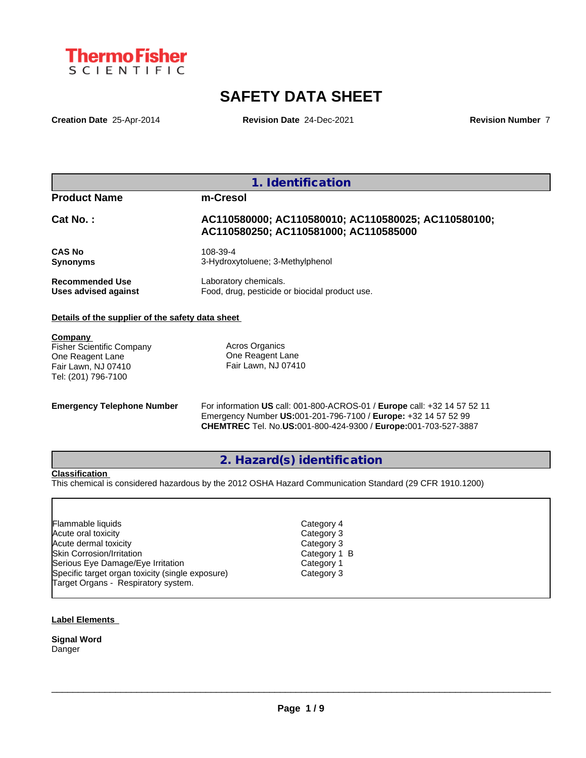

# **SAFETY DATA SHEET**

**Creation Date** 25-Apr-2014 **Revision Date** 24-Dec-2021 **Revision Number** 7

| <b>Product Name</b>                              | m-Cresol                                                                                     |
|--------------------------------------------------|----------------------------------------------------------------------------------------------|
| $Cat No.$ :                                      | AC110580000; AC110580010; AC110580025; AC110580100;<br>AC110580250; AC110581000; AC110585000 |
| <b>CAS No</b><br><b>Synonyms</b>                 | 108-39-4<br>3-Hydroxytoluene; 3-Methylphenol                                                 |
| Recommended Use<br>Uses advised against          | Laboratory chemicals.<br>Food, drug, pesticide or biocidal product use.                      |
| Details of the supplier of the safety data sheet |                                                                                              |

**Company**  Fisher Scientific Company One Reagent Lane Fair Lawn, NJ 07410 Tel: (201) 796-7100

Acros Organics One Reagent Lane Fair Lawn, NJ 07410

**Emergency Telephone Number** For information **US** call: 001-800-ACROS-01 / **Europe** call: +32 14 57 52 11 Emergency Number **US:**001-201-796-7100 / **Europe:** +32 14 57 52 99 **CHEMTREC** Tel. No.**US:**001-800-424-9300 / **Europe:**001-703-527-3887

**2. Hazard(s) identification**

## **Classification**

This chemical is considered hazardous by the 2012 OSHA Hazard Communication Standard (29 CFR 1910.1200)

| <b>Flammable liquids</b>                         |  |
|--------------------------------------------------|--|
| Acute oral toxicity                              |  |
| Acute dermal toxicity                            |  |
| <b>Skin Corrosion/Irritation</b>                 |  |
| Serious Eye Damage/Eye Irritation                |  |
| Specific target organ toxicity (single exposure) |  |
| Target Organs - Respiratory system.              |  |

Category 3 Category 3 Category 1 B Category 1 Category 3 Category 4

 $\_$  ,  $\_$  ,  $\_$  ,  $\_$  ,  $\_$  ,  $\_$  ,  $\_$  ,  $\_$  ,  $\_$  ,  $\_$  ,  $\_$  ,  $\_$  ,  $\_$  ,  $\_$  ,  $\_$  ,  $\_$  ,  $\_$  ,  $\_$  ,  $\_$  ,  $\_$  ,  $\_$  ,  $\_$  ,  $\_$  ,  $\_$  ,  $\_$  ,  $\_$  ,  $\_$  ,  $\_$  ,  $\_$  ,  $\_$  ,  $\_$  ,  $\_$  ,  $\_$  ,  $\_$  ,  $\_$  ,  $\_$  ,  $\_$  ,

## **Label Elements**

**Signal Word Danger**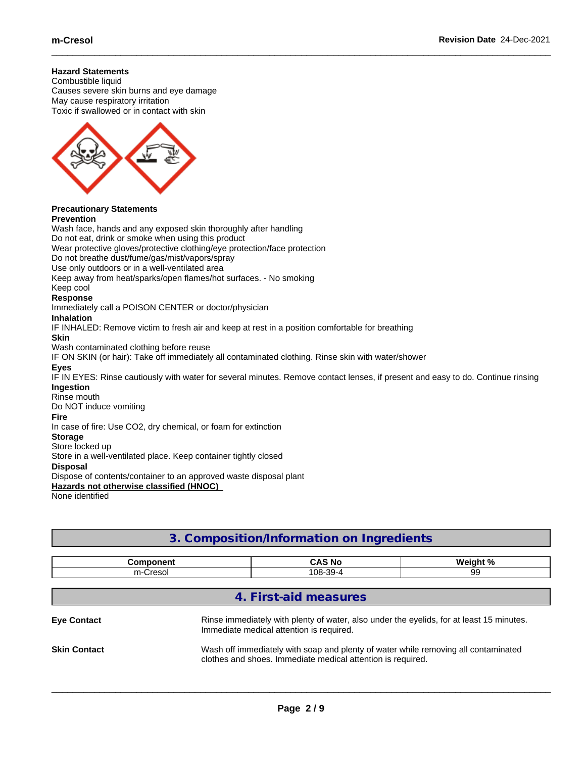## **Hazard Statements**

Combustible liquid Causes severe skin burns and eye damage May cause respiratory irritation Toxic if swallowed or in contact with skin



#### **Precautionary Statements Prevention**

## Wash face, hands and any exposed skin thoroughly after handling Do not eat, drink or smoke when using this product Wear protective gloves/protective clothing/eye protection/face protection Do not breathe dust/fume/gas/mist/vapors/spray Use only outdoors or in a well-ventilated area Keep away from heat/sparks/open flames/hot surfaces. - No smoking Keep cool **Response** Immediately call a POISON CENTER or doctor/physician **Inhalation** IF INHALED: Remove victim to fresh air and keep at rest in a position comfortable for breathing **Skin** Wash contaminated clothing before reuse IF ON SKIN (or hair): Take off immediately all contaminated clothing. Rinse skin with water/shower **Eyes** IF IN EYES: Rinse cautiously with water for several minutes. Remove contact lenses, if present and easy to do. Continue rinsing **Ingestion** Rinse mouth Do NOT induce vomiting **Fire** In case of fire: Use CO2, dry chemical, or foam for extinction **Storage** Store locked up Store in a well-ventilated place. Keep container tightly closed **Disposal** Dispose of contents/container to an approved waste disposal plant **Hazards not otherwise classified (HNOC)** None identified

| <u>U. COMPOSITION INTIUDI MIQTION TINGI COICHTS</u> |                            |                                                                                                                                                               |          |  |  |  |  |
|-----------------------------------------------------|----------------------------|---------------------------------------------------------------------------------------------------------------------------------------------------------------|----------|--|--|--|--|
|                                                     | <b>Component</b>           | <b>CAS No</b>                                                                                                                                                 | Weight % |  |  |  |  |
|                                                     | m-Cresol<br>108-39-4<br>99 |                                                                                                                                                               |          |  |  |  |  |
| <b>Eye Contact</b>                                  |                            | 4. First-aid measures<br>Rinse immediately with plenty of water, also under the eyelids, for at least 15 minutes.<br>Immediate medical attention is required. |          |  |  |  |  |
| <b>Skin Contact</b>                                 |                            | Wash off immediately with soap and plenty of water while removing all contaminated<br>clothes and shoes. Immediate medical attention is required.             |          |  |  |  |  |

**3. Composition/Information on Ingredients**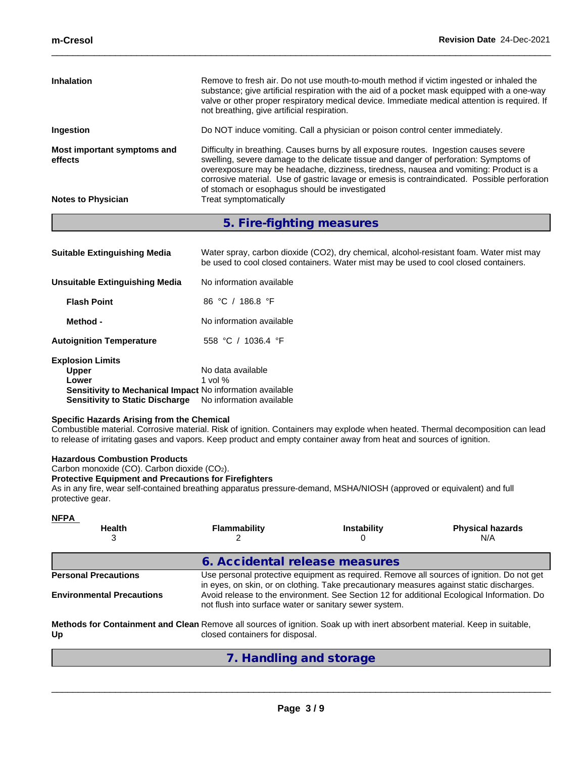| <b>Inhalation</b>                      | Remove to fresh air. Do not use mouth-to-mouth method if victim ingested or inhaled the<br>substance; give artificial respiration with the aid of a pocket mask equipped with a one-way<br>valve or other proper respiratory medical device. Immediate medical attention is required. If<br>not breathing, give artificial respiration.                                                                                   |
|----------------------------------------|---------------------------------------------------------------------------------------------------------------------------------------------------------------------------------------------------------------------------------------------------------------------------------------------------------------------------------------------------------------------------------------------------------------------------|
| Ingestion                              | Do NOT induce vomiting. Call a physician or poison control center immediately.                                                                                                                                                                                                                                                                                                                                            |
| Most important symptoms and<br>effects | Difficulty in breathing. Causes burns by all exposure routes. Ingestion causes severe<br>swelling, severe damage to the delicate tissue and danger of perforation: Symptoms of<br>overexposure may be headache, dizziness, tiredness, nausea and vomiting: Product is a<br>corrosive material. Use of gastric lavage or emesis is contraindicated. Possible perforation<br>of stomach or esophagus should be investigated |
| <b>Notes to Physician</b>              | Treat symptomatically                                                                                                                                                                                                                                                                                                                                                                                                     |

**5. Fire-fighting measures**

| <b>Suitable Extinguishing Media</b>                              | Water spray, carbon dioxide (CO2), dry chemical, alcohol-resistant foam. Water mist may<br>be used to cool closed containers. Water mist may be used to cool closed containers. |
|------------------------------------------------------------------|---------------------------------------------------------------------------------------------------------------------------------------------------------------------------------|
| Unsuitable Extinguishing Media                                   | No information available                                                                                                                                                        |
| <b>Flash Point</b>                                               | 86 °C / 186.8 °F                                                                                                                                                                |
| Method -                                                         | No information available                                                                                                                                                        |
| <b>Autoignition Temperature</b>                                  | 558 °C $/$<br>1036.4 $\degree$ F                                                                                                                                                |
| <b>Explosion Limits</b>                                          |                                                                                                                                                                                 |
| <b>Upper</b>                                                     | No data available                                                                                                                                                               |
| Lower                                                            | 1 vol $%$                                                                                                                                                                       |
| <b>Sensitivity to Mechanical Impact No information available</b> |                                                                                                                                                                                 |

**Sensitivity to Static Discharge** No information available

## **Specific Hazards Arising from the Chemical**

Combustible material. Corrosive material. Risk of ignition. Containers may explode when heated. Thermal decomposition can lead to release of irritating gases and vapors. Keep product and empty container away from heat and sources of ignition.

## **Hazardous Combustion Products**

Carbon monoxide (CO). Carbon dioxide (CO2).

## **Protective Equipment and Precautions for Firefighters**

As in any fire, wear self-contained breathing apparatus pressure-demand, MSHA/NIOSH (approved or equivalent) and full protective gear.

| <b>NFPA</b><br><b>Health</b><br>3                                                                                                | <b>Flammability</b>                                                                                                                                  | <b>Instability</b> | <b>Physical hazards</b><br>N/A                                                                                                                                                        |  |  |
|----------------------------------------------------------------------------------------------------------------------------------|------------------------------------------------------------------------------------------------------------------------------------------------------|--------------------|---------------------------------------------------------------------------------------------------------------------------------------------------------------------------------------|--|--|
|                                                                                                                                  | 6. Accidental release measures                                                                                                                       |                    |                                                                                                                                                                                       |  |  |
| <b>Personal Precautions</b>                                                                                                      |                                                                                                                                                      |                    | Use personal protective equipment as required. Remove all sources of ignition. Do not get<br>in eyes, on skin, or on clothing. Take precautionary measures against static discharges. |  |  |
| <b>Environmental Precautions</b>                                                                                                 | Avoid release to the environment. See Section 12 for additional Ecological Information. Do<br>not flush into surface water or sanitary sewer system. |                    |                                                                                                                                                                                       |  |  |
| Methods for Containment and Clean Remove all sources of ignition. Soak up with inert absorbent material. Keep in suitable,<br>Up | closed containers for disposal.                                                                                                                      |                    |                                                                                                                                                                                       |  |  |
|                                                                                                                                  | 7. Handling and storage                                                                                                                              |                    |                                                                                                                                                                                       |  |  |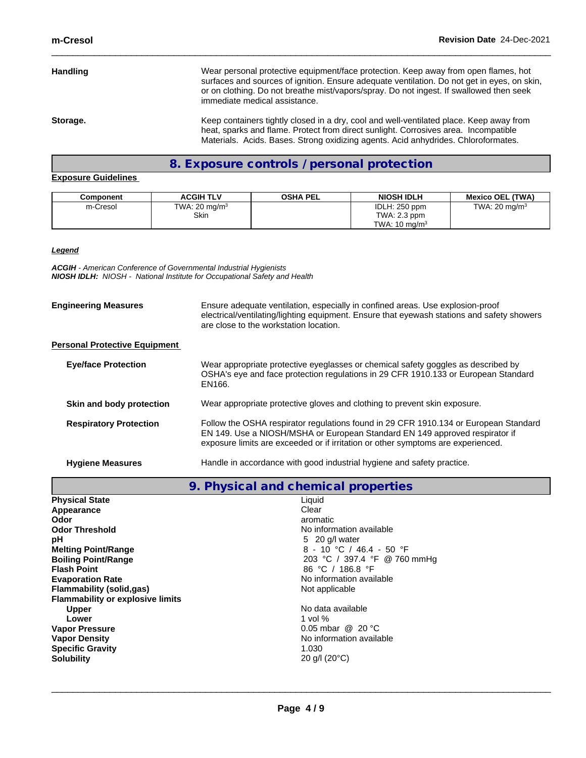**Handling** Wear personal protective equipment/face protection. Keep away from open flames, hot surfaces and sources of ignition. Ensure adequate ventilation. Do not get in eyes, on skin, or on clothing. Do not breathe mist/vapors/spray. Do not ingest. If swallowed then seek immediate medical assistance. **Storage. Keep containers tightly closed in a dry, cool and well-ventilated place. Keep away from** heat, sparks and flame. Protect from direct sunlight. Corrosives area. Incompatible Materials. Acids. Bases. Strong oxidizing agents. Acid anhydrides. Chloroformates.

## **8. Exposure controls / personal protection**

## **Exposure Guidelines**

| Component | <b>ACGIH TLV</b>         | <b>OSHA PEL</b> | <b>NIOSH IDLH</b>        | <b>Mexico OEL (TWA)</b> |
|-----------|--------------------------|-----------------|--------------------------|-------------------------|
| m-Cresol  | TWA: $20 \text{ mg/m}^3$ |                 | IDLH: 250 ppm            | TWA: 20 mg/m $3$        |
|           | Skin                     |                 | TWA: 2.3 ppm             |                         |
|           |                          |                 | TWA: $10 \text{ ma/m}^3$ |                         |

*Legend*

*ACGIH - American Conference of Governmental Industrial Hygienists NIOSH IDLH: NIOSH - National Institute for Occupational Safety and Health*

| <b>Engineering Measures</b>          | Ensure adequate ventilation, especially in confined areas. Use explosion-proof<br>electrical/ventilating/lighting equipment. Ensure that eyewash stations and safety showers<br>are close to the workstation location.                                  |
|--------------------------------------|---------------------------------------------------------------------------------------------------------------------------------------------------------------------------------------------------------------------------------------------------------|
| <b>Personal Protective Equipment</b> |                                                                                                                                                                                                                                                         |
| <b>Eye/face Protection</b>           | Wear appropriate protective eyeglasses or chemical safety goggles as described by<br>OSHA's eye and face protection regulations in 29 CFR 1910.133 or European Standard<br>EN166.                                                                       |
| Skin and body protection             | Wear appropriate protective gloves and clothing to prevent skin exposure.                                                                                                                                                                               |
| <b>Respiratory Protection</b>        | Follow the OSHA respirator regulations found in 29 CFR 1910.134 or European Standard<br>EN 149. Use a NIOSH/MSHA or European Standard EN 149 approved respirator if<br>exposure limits are exceeded or if irritation or other symptoms are experienced. |
| <b>Hygiene Measures</b>              | Handle in accordance with good industrial hygiene and safety practice.                                                                                                                                                                                  |

|                                         | 9. Physical and chemical properties |
|-----------------------------------------|-------------------------------------|
| <b>Physical State</b>                   | Liquid                              |
| Appearance                              | Clear                               |
| Odor                                    | aromatic                            |
| <b>Odor Threshold</b>                   | No information available            |
| рH                                      | 5 20 g/l water                      |
| <b>Melting Point/Range</b>              | 8 - 10 °C / 46.4 - 50 °F            |
| <b>Boiling Point/Range</b>              | 203 °C / 397.4 °F @ 760 mmHg        |
| <b>Flash Point</b>                      | 86 °C / 186.8 °F                    |
| <b>Evaporation Rate</b>                 | No information available            |
| Flammability (solid,gas)                | Not applicable                      |
| <b>Flammability or explosive limits</b> |                                     |
| <b>Upper</b>                            | No data available                   |
| Lower                                   | 1 vol $%$                           |
| <b>Vapor Pressure</b>                   | 0.05 mbar @ 20 °C                   |
| <b>Vapor Density</b>                    | No information available            |
| <b>Specific Gravity</b>                 | 1.030                               |
| <b>Solubility</b>                       | 20 g/l $(20^{\circ}C)$              |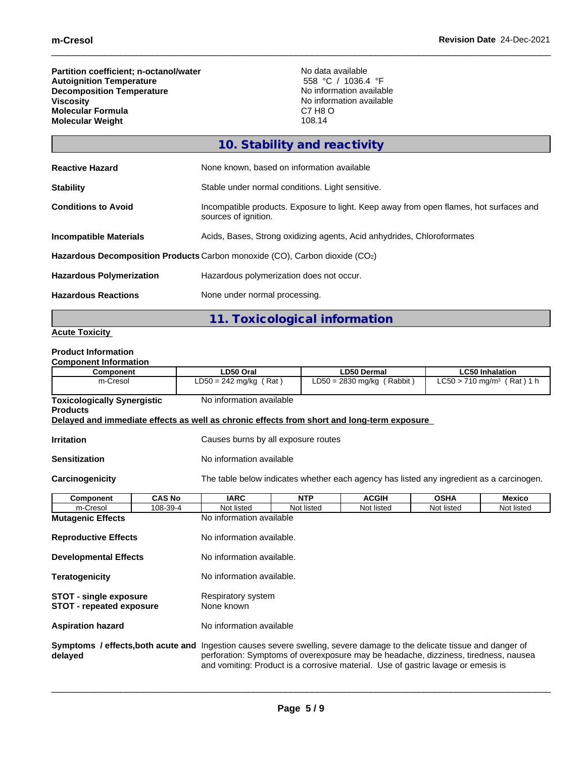**Partition coefficient; n-octanol/water** No data available<br> **Autoignition Temperature C** Autoignition **CEO Autoignition Temperature** 558 °C / 1036.4 °F **Decomposition Temperature**<br>Viscosity **Molecular Formula** C7 H8 OCT H8 OCT H8 OCT H8 OCT H8 OCT H8 OCT H8 OCT H8 OCT H8 OCT H8 OCT H8 OCT H8 OCT H8 OCT H8 OCT H8 OCT H8 OCT H8 OCT H8 OCT H8 OCT H8 OCT H8 OCT H8 OCT H8 OCT H8 OCT H8 OCT H8 OCT H8 OCT H8 OCT H8 **Molecular Weight** 

No information available<br>C7 H8 O

|                                 | 10. Stability and reactivity                                                                                   |
|---------------------------------|----------------------------------------------------------------------------------------------------------------|
| <b>Reactive Hazard</b>          | None known, based on information available                                                                     |
| <b>Stability</b>                | Stable under normal conditions. Light sensitive.                                                               |
| <b>Conditions to Avoid</b>      | Incompatible products. Exposure to light. Keep away from open flames, hot surfaces and<br>sources of ignition. |
| <b>Incompatible Materials</b>   | Acids, Bases, Strong oxidizing agents, Acid anhydrides, Chloroformates                                         |
|                                 | Hazardous Decomposition Products Carbon monoxide (CO), Carbon dioxide (CO2)                                    |
| <b>Hazardous Polymerization</b> | Hazardous polymerization does not occur.                                                                       |
| <b>Hazardous Reactions</b>      | None under normal processing.                                                                                  |
|                                 | 11. Toxicological information                                                                                  |

## **Acute Toxicity**

## **Product Information**

| <b>Component Information</b>                                     |               |                                                                                            |                                                                                                                                                                                                                                                                                                     |                              |                        |                                        |  |  |
|------------------------------------------------------------------|---------------|--------------------------------------------------------------------------------------------|-----------------------------------------------------------------------------------------------------------------------------------------------------------------------------------------------------------------------------------------------------------------------------------------------------|------------------------------|------------------------|----------------------------------------|--|--|
| <b>Component</b>                                                 |               | LD50 Oral                                                                                  | <b>LD50 Dermal</b>                                                                                                                                                                                                                                                                                  |                              | <b>LC50 Inhalation</b> |                                        |  |  |
|                                                                  | m-Cresol      |                                                                                            | $LD50 = 242$ mg/kg (Rat)                                                                                                                                                                                                                                                                            | $LD50 = 2830$ mg/kg (Rabbit) |                        | LC50 > 710 mg/m <sup>3</sup> (Rat) 1 h |  |  |
| <b>Toxicologically Synergistic</b><br><b>Products</b>            |               | No information available                                                                   |                                                                                                                                                                                                                                                                                                     |                              |                        |                                        |  |  |
|                                                                  |               | Delayed and immediate effects as well as chronic effects from short and long-term exposure |                                                                                                                                                                                                                                                                                                     |                              |                        |                                        |  |  |
| <b>Irritation</b>                                                |               |                                                                                            | Causes burns by all exposure routes                                                                                                                                                                                                                                                                 |                              |                        |                                        |  |  |
| <b>Sensitization</b>                                             |               | No information available                                                                   |                                                                                                                                                                                                                                                                                                     |                              |                        |                                        |  |  |
| Carcinogenicity                                                  |               |                                                                                            | The table below indicates whether each agency has listed any ingredient as a carcinogen.                                                                                                                                                                                                            |                              |                        |                                        |  |  |
| Component                                                        | <b>CAS No</b> | <b>IARC</b>                                                                                | <b>NTP</b>                                                                                                                                                                                                                                                                                          | <b>ACGIH</b>                 | <b>OSHA</b>            | <b>Mexico</b>                          |  |  |
| m-Cresol                                                         | 108-39-4      | Not listed                                                                                 | Not listed<br>Not listed<br>Not listed<br>Not listed                                                                                                                                                                                                                                                |                              |                        |                                        |  |  |
| <b>Mutagenic Effects</b>                                         |               |                                                                                            | No information available                                                                                                                                                                                                                                                                            |                              |                        |                                        |  |  |
| <b>Reproductive Effects</b>                                      |               |                                                                                            | No information available.                                                                                                                                                                                                                                                                           |                              |                        |                                        |  |  |
| <b>Developmental Effects</b>                                     |               |                                                                                            | No information available.                                                                                                                                                                                                                                                                           |                              |                        |                                        |  |  |
| <b>Teratogenicity</b>                                            |               |                                                                                            | No information available.                                                                                                                                                                                                                                                                           |                              |                        |                                        |  |  |
| <b>STOT - single exposure</b><br><b>STOT - repeated exposure</b> |               | None known                                                                                 | Respiratory system                                                                                                                                                                                                                                                                                  |                              |                        |                                        |  |  |
| <b>Aspiration hazard</b>                                         |               |                                                                                            | No information available                                                                                                                                                                                                                                                                            |                              |                        |                                        |  |  |
| delayed                                                          |               |                                                                                            | Symptoms / effects, both acute and Ingestion causes severe swelling, severe damage to the delicate tissue and danger of<br>perforation: Symptoms of overexposure may be headache, dizziness, tiredness, nausea<br>and vomiting: Product is a corrosive material. Use of gastric lavage or emesis is |                              |                        |                                        |  |  |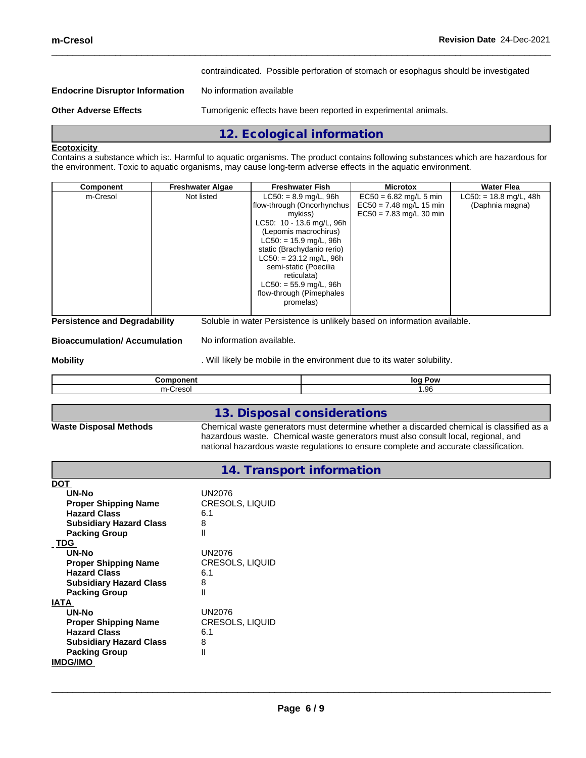contraindicated. Possible perforation of stomach or esophagus should be investigated

## **Endocrine Disruptor Information** No information available

**Other Adverse Effects** Tumorigenic effects have been reported in experimental animals.

## **Ecotoxicity**

Contains a substance which is:. Harmful to aquatic organisms. The product contains following substances which are hazardous for the environment. Toxic to aquatic organisms, may cause long-term adverse effects in the aquatic environment.

**12. Ecological information**

| m-Cresol<br>$LC50: = 8.9$ mg/L, 96h<br>$EC50 = 6.82$ mg/L 5 min<br>$LC50: = 18.8$ mg/L, 48h<br>Not listed<br>flow-through (Oncorhynchus)<br>$EC50 = 7.48$ mg/L 15 min<br>(Daphnia magna)<br>$EC50 = 7.83$ mg/L 30 min<br>mykiss)<br>LC50: 10 - 13.6 mg/L, 96h<br>(Lepomis macrochirus)<br>$LC50: = 15.9$ mg/L, 96h<br>static (Brachydanio rerio)<br>$LC50: = 23.12$ mg/L, 96h | semi-static (Poecilia<br>reticulata)<br>$LC50: = 55.9$ mg/L, 96h<br>flow-through (Pimephales<br>promelas) | <b>Component</b> | <b>Freshwater Algae</b> | <b>Freshwater Fish</b> | <b>Microtox</b> | Water Flea |
|-------------------------------------------------------------------------------------------------------------------------------------------------------------------------------------------------------------------------------------------------------------------------------------------------------------------------------------------------------------------------------|-----------------------------------------------------------------------------------------------------------|------------------|-------------------------|------------------------|-----------------|------------|
|                                                                                                                                                                                                                                                                                                                                                                               |                                                                                                           |                  |                         |                        |                 |            |

### **Bioaccumulation/ Accumulation** No information available.

**Mobility Mobility Mobility** . Will likely be mobile in the environment due to its water solubility.

|             | loc<br>Pow<br>. . |
|-------------|-------------------|
| .<br>ື<br>. | .96،<br>$\sim$    |

## **13. Disposal considerations**

**Waste Disposal Methods** Chemical waste generators must determine whether a discarded chemical is classified as a hazardous waste. Chemical waste generators must also consult local, regional, and national hazardous waste regulations to ensure complete and accurate classification.

## **14. Transport information**

| <b>DOT</b>                     |                        |
|--------------------------------|------------------------|
| UN-No                          | UN2076                 |
| <b>Proper Shipping Name</b>    | <b>CRESOLS, LIQUID</b> |
| <b>Hazard Class</b>            | 6.1                    |
| <b>Subsidiary Hazard Class</b> | 8                      |
| <b>Packing Group</b>           | Ш                      |
| <b>TDG</b>                     |                        |
| UN-No                          | UN2076                 |
| <b>Proper Shipping Name</b>    | <b>CRESOLS, LIQUID</b> |
| <b>Hazard Class</b>            | 6.1                    |
| <b>Subsidiary Hazard Class</b> | 8                      |
| <b>Packing Group</b>           | Ш                      |
| <b>IATA</b>                    |                        |
| UN-No                          | UN2076                 |
| <b>Proper Shipping Name</b>    | <b>CRESOLS, LIQUID</b> |
| <b>Hazard Class</b>            | 6.1                    |
| <b>Subsidiary Hazard Class</b> | 8                      |
| <b>Packing Group</b>           | Ш                      |
| <b>IMDG/IMO</b>                |                        |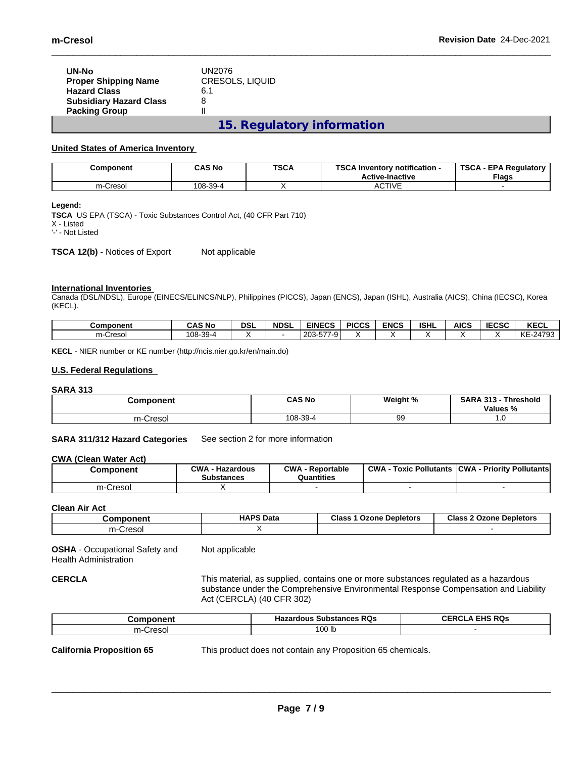| UN-No                          | UN2076                 |
|--------------------------------|------------------------|
| <b>Proper Shipping Name</b>    | <b>CRESOLS, LIQUID</b> |
| <b>Hazard Class</b>            | 6.1                    |
| <b>Subsidiary Hazard Class</b> | 8                      |
| <b>Packing Group</b>           |                        |
|                                |                        |

**15. Regulatory information**

## **United States of America Inventory**

| Component | <b>CAS No</b> | <b>TSCA</b> | TOO AL<br>. Inventory notification -<br><b>Active-Inactive</b> | <b>TSCA</b><br><b>EPA Regulatory</b><br><b>Flags</b> |
|-----------|---------------|-------------|----------------------------------------------------------------|------------------------------------------------------|
| m-Cresol  | 108-39-4      |             | <b>CTIVE</b><br>Av.                                            |                                                      |

### **Legend:**

**TSCA** US EPA (TSCA) - Toxic Substances Control Act, (40 CFR Part 710)

X - Listed '-' - Not Listed

**TSCA 12(b)** - Notices of Export Not applicable

## **International Inventories**

Canada (DSL/NDSL), Europe (EINECS/ELINCS/NLP), Philippines (PICCS), Japan (ENCS), Japan (ISHL), Australia (AICS), China (IECSC), Korea (KECL).

| Component         | <b>CAS No</b> | <b>DSL</b> | <b>NDSL</b> | <b>EINECS</b>                                | <b>PICCS</b> | <b>ENCS</b> | <b>ISHL</b> | <b>AICS</b> | IFAAA<br>טטיב | <b>KECL</b> |
|-------------------|---------------|------------|-------------|----------------------------------------------|--------------|-------------|-------------|-------------|---------------|-------------|
| $\sim$<br>m-Creso | 108-39-4      |            |             | $- - -$<br>່ 203.<br><u>'y.</u><br>, ن<br>∠∪ |              |             |             |             |               | KE<br>24793 |

**KECL** - NIER number or KE number (http://ncis.nier.go.kr/en/main.do)

## **U.S. Federal Regulations**

## **SARA 313**

| Component     | <b>CAS No</b> | Weight % | <b>SARA 313</b><br>Threshold<br>$\sim$<br>Values % |
|---------------|---------------|----------|----------------------------------------------------|
| -Cresol<br>m- | 108-39-4      | 99       | .<br>$\sim$                                        |

#### **SARA 311/312 Hazard Categories** See section 2 for more information

#### **CWA** (Clean Water Act)

| Component             | CWA<br>Hazardous<br>Substances | CWA<br>- Reportable<br>Quantities | <b>CWA</b><br>Pollutants<br>Toxic | <b>ICWA</b><br>- Prioritv Pollutantsl |
|-----------------------|--------------------------------|-----------------------------------|-----------------------------------|---------------------------------------|
| $m-$<br><b>Cresol</b> | . .                            |                                   |                                   |                                       |

#### **Clean Air Act**

| Component   | <b>HAPS Data</b> | <b>Class</b><br>Ozone Depletors | Class 2<br>Ozone<br><b>Depletors</b> |
|-------------|------------------|---------------------------------|--------------------------------------|
| m<br>resolے |                  |                                 |                                      |

**OSHA** - Occupational Safety and Health Administration Not applicable

**CERCLA** This material, as supplied, contains one or more substances regulated as a hazardous substance under the Comprehensive Environmental Response Compensation and Liability Act (CERCLA) (40 CFR 302)

 $\_$  ,  $\_$  ,  $\_$  ,  $\_$  ,  $\_$  ,  $\_$  ,  $\_$  ,  $\_$  ,  $\_$  ,  $\_$  ,  $\_$  ,  $\_$  ,  $\_$  ,  $\_$  ,  $\_$  ,  $\_$  ,  $\_$  ,  $\_$  ,  $\_$  ,  $\_$  ,  $\_$  ,  $\_$  ,  $\_$  ,  $\_$  ,  $\_$  ,  $\_$  ,  $\_$  ,  $\_$  ,  $\_$  ,  $\_$  ,  $\_$  ,  $\_$  ,  $\_$  ,  $\_$  ,  $\_$  ,  $\_$  ,  $\_$  ,

| omnonen<br>.or           | <b>Hazardous Substances RQs</b> | <b>EHS RQs</b><br><b>CEDCI</b><br>ULN' |
|--------------------------|---------------------------------|----------------------------------------|
| $- - -$<br>-Cresol<br>m- | م م<br>פו טטו                   |                                        |

**California Proposition 65** This product does not contain any Proposition 65 chemicals.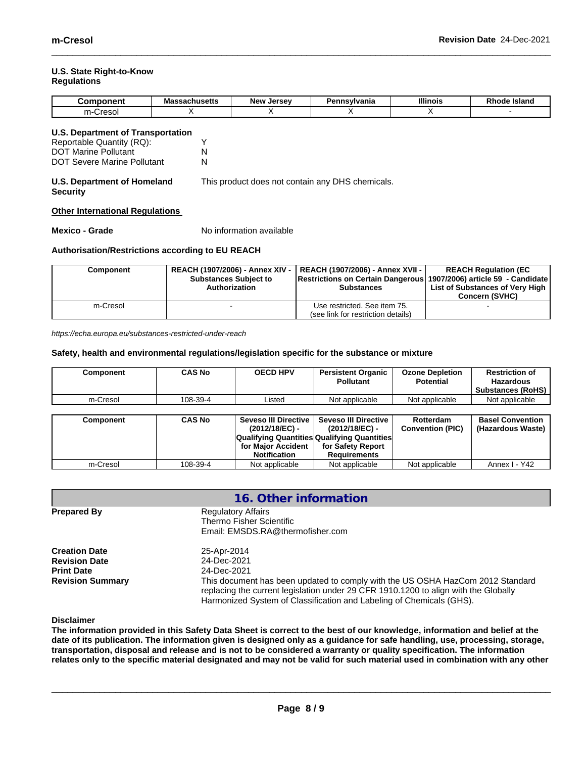#### **U.S. State Right-to-Know Regulations**

| ---<br>- --<br>۱r | - -<br>S<br>Mas<br><b>Jagringserrs</b> | New<br>I | msvlvania<br>ъ. | <b>Illinois</b> | <b>Island</b><br>oac |
|-------------------|----------------------------------------|----------|-----------------|-----------------|----------------------|
| $-$<br>ന−.        |                                        |          |                 |                 |                      |

| U.S. Department of Transportation |  |
|-----------------------------------|--|
| Reportable Quantity (RQ):         |  |

| $\sim$                      |  |
|-----------------------------|--|
| <b>DOT Marine Pollutant</b> |  |
| DOT Severe Marine Pollutant |  |

#### **U.S. Department of Homeland Security** This product does not contain any DHS chemicals.

## **Other International Regulations**

**Mexico - Grade** No information available

## **Authorisation/Restrictions according to EU REACH**

| Component | <b>Substances Subject to</b><br>Authorization | REACH (1907/2006) - Annex XIV -   REACH (1907/2006) - Annex XVII -  <br> Restrictions on Certain Dangerous  1907/2006) article 59 - Candidate<br><b>Substances</b> | <b>REACH Requlation (EC</b><br>List of Substances of Very High<br><b>Concern (SVHC)</b> |
|-----------|-----------------------------------------------|--------------------------------------------------------------------------------------------------------------------------------------------------------------------|-----------------------------------------------------------------------------------------|
| m-Cresol  |                                               | Use restricted. See item 75.                                                                                                                                       |                                                                                         |
|           |                                               | (see link for restriction details)                                                                                                                                 |                                                                                         |

*https://echa.europa.eu/substances-restricted-under-reach*

## **Safety, health and environmental regulations/legislation specific for the substance or mixture**

| Component | <b>CAS No</b> | <b>OECD HPV</b>        | <b>Persistent Organic</b><br><b>Pollutant</b> | <b>Ozone Depletion</b><br><b>Potential</b> | <b>Restriction of</b><br><b>Hazardous</b><br><b>Substances (RoHS)</b> |
|-----------|---------------|------------------------|-----------------------------------------------|--------------------------------------------|-----------------------------------------------------------------------|
| m-Cresol  | 108-39-4      | Listed                 | Not applicable                                | Not applicable                             | Not applicable                                                        |
|           |               |                        |                                               |                                            |                                                                       |
| Component | <b>CAS No</b> | Seveso III Directive I | <b>Seveso III Directive</b>                   | Rotterdam                                  | <b>Basel Convention</b>                                               |
|           |               | (2012/18/EC) -         | (2012/18/EC) -                                | <b>Convention (PIC)</b>                    | (Hazardous Waste)                                                     |
|           |               |                        | Qualifying Quantities Qualifying Quantities   |                                            |                                                                       |
|           |               | for Maior Accident     | for Safety Report                             |                                            |                                                                       |
|           |               | <b>Notification</b>    | <b>Requirements</b>                           |                                            |                                                                       |
| m-Cresol  | 108-39-4      | Not applicable         | Not applicable                                | Not applicable                             | Annex I - Y42                                                         |

|                                           | 16. Other information                                                                                                                                                                                                                         |  |
|-------------------------------------------|-----------------------------------------------------------------------------------------------------------------------------------------------------------------------------------------------------------------------------------------------|--|
| <b>Prepared By</b>                        | <b>Regulatory Affairs</b><br>Thermo Fisher Scientific<br>Email: EMSDS.RA@thermofisher.com                                                                                                                                                     |  |
| <b>Creation Date</b>                      | 25-Apr-2014                                                                                                                                                                                                                                   |  |
| <b>Revision Date</b><br><b>Print Date</b> | 24-Dec-2021<br>24-Dec-2021                                                                                                                                                                                                                    |  |
| <b>Revision Summary</b>                   | This document has been updated to comply with the US OSHA HazCom 2012 Standard<br>replacing the current legislation under 29 CFR 1910.1200 to align with the Globally<br>Harmonized System of Classification and Labeling of Chemicals (GHS). |  |

**Disclaimer**

The information provided in this Safety Data Sheet is correct to the best of our knowledge, information and belief at the date of its publication. The information given is designed only as a guidance for safe handling, use, processing, storage, transportation, disposal and release and is not to be considered a warranty or quality specification. The information relates only to the specific material designated and may not be valid for such material used in combination with any other